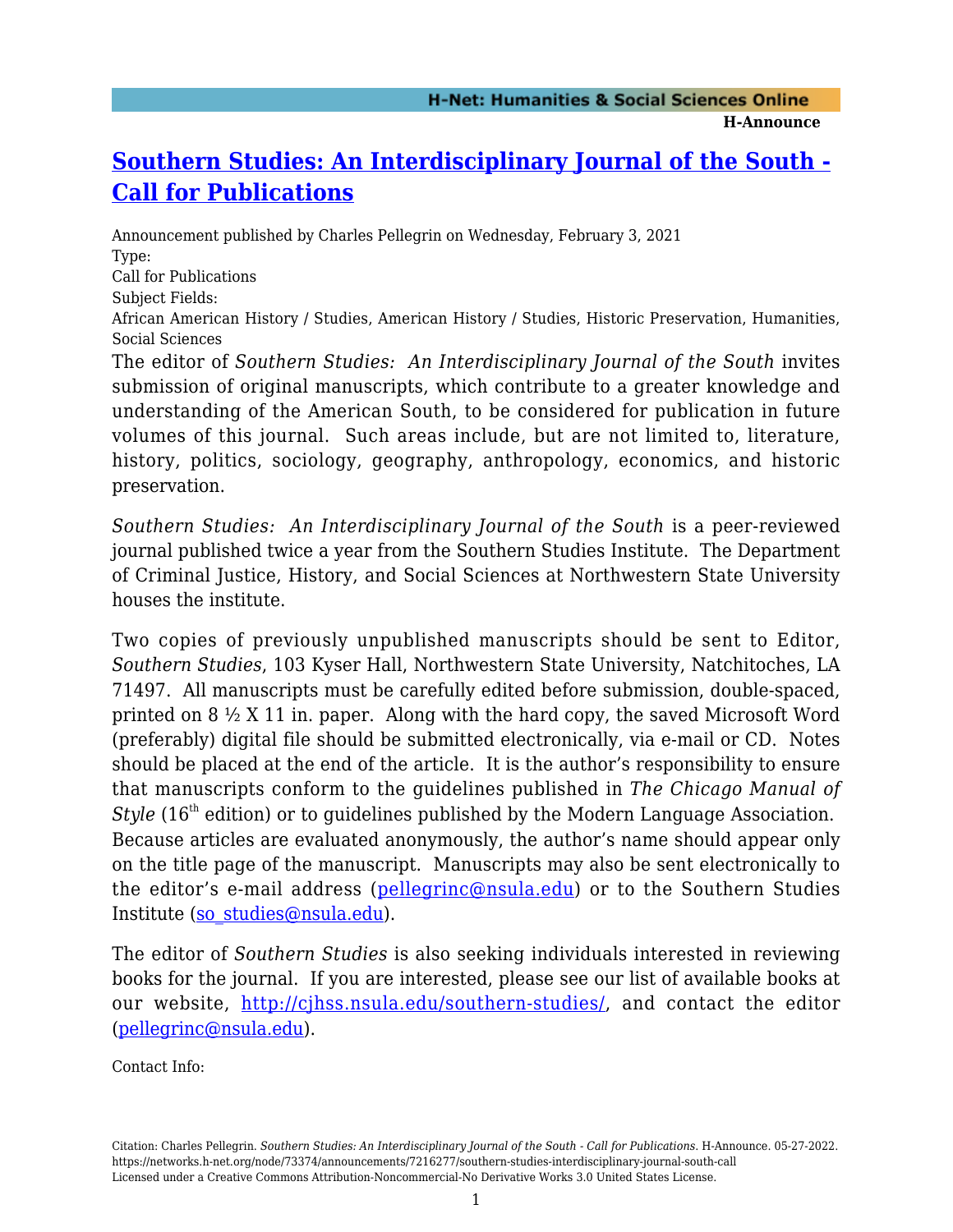## **[Southern Studies: An Interdisciplinary Journal of the South -](https://networks.h-net.org/node/73374/announcements/7216277/southern-studies-interdisciplinary-journal-south-call) [Call for Publications](https://networks.h-net.org/node/73374/announcements/7216277/southern-studies-interdisciplinary-journal-south-call)**

Announcement published by Charles Pellegrin on Wednesday, February 3, 2021 Type: Call for Publications

Subject Fields:

African American History / Studies, American History / Studies, Historic Preservation, Humanities, Social Sciences

The editor of *Southern Studies: An Interdisciplinary Journal of the South* invites submission of original manuscripts, which contribute to a greater knowledge and understanding of the American South, to be considered for publication in future volumes of this journal. Such areas include, but are not limited to, literature, history, politics, sociology, geography, anthropology, economics, and historic preservation.

*Southern Studies: An Interdisciplinary Journal of the South* is a peer-reviewed journal published twice a year from the Southern Studies Institute. The Department of Criminal Justice, History, and Social Sciences at Northwestern State University houses the institute.

Two copies of previously unpublished manuscripts should be sent to Editor, *Southern Studies*, 103 Kyser Hall, Northwestern State University, Natchitoches, LA 71497. All manuscripts must be carefully edited before submission, double-spaced, printed on 8 ½ X 11 in. paper. Along with the hard copy, the saved Microsoft Word (preferably) digital file should be submitted electronically, via e-mail or CD. Notes should be placed at the end of the article. It is the author's responsibility to ensure that manuscripts conform to the guidelines published in *The Chicago Manual of Style* (16<sup>th</sup> edition) or to guidelines published by the Modern Language Association. Because articles are evaluated anonymously, the author's name should appear only on the title page of the manuscript. Manuscripts may also be sent electronically to the editor's e-mail address ([pellegrinc@nsula.edu](mailto:pellegrinc@nsula.edu)) or to the Southern Studies Institute [\(so\\_studies@nsula.edu\)](mailto:so_studies@nsula.edu).

The editor of *Southern Studies* is also seeking individuals interested in reviewing books for the journal. If you are interested, please see our list of available books at our website,<http://cjhss.nsula.edu/southern-studies/>, and contact the editor [\(pellegrinc@nsula.edu](mailto:pellegrinc@nsula.edu)).

Contact Info:

Citation: Charles Pellegrin. *Southern Studies: An Interdisciplinary Journal of the South - Call for Publications*. H-Announce. 05-27-2022. https://networks.h-net.org/node/73374/announcements/7216277/southern-studies-interdisciplinary-journal-south-call Licensed under a Creative Commons Attribution-Noncommercial-No Derivative Works 3.0 United States License.